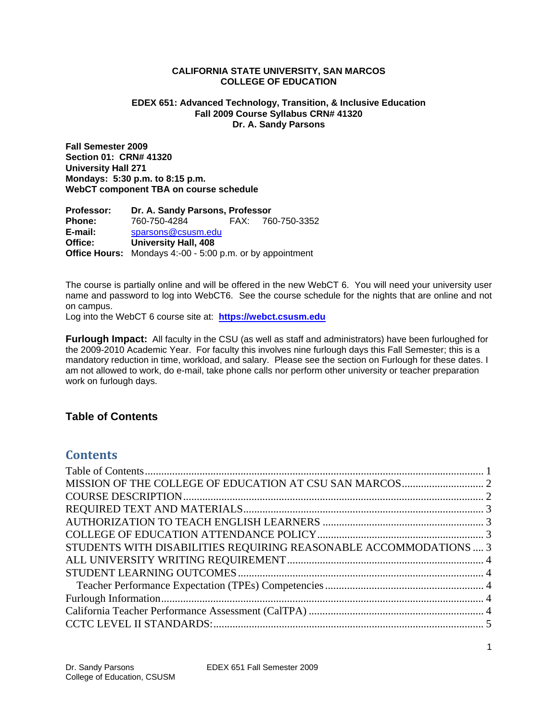### **CALIFORNIA STATE UNIVERSITY, SAN MARCOS COLLEGE OF EDUCATION**

### **EDEX 651: Advanced Technology, Transition, & Inclusive Education Fall 2009 Course Syllabus CRN# 41320 Dr. A. Sandy Parsons**

**Fall Semester 2009 Section 01: CRN# 41320 University Hall 271 Mondays: 5:30 p.m. to 8:15 p.m. WebCT component TBA on course schedule** 

 **Phone:** 760-750-4284 FAX: 760-750-3352  **E-mail:** sparsons@csusm.edu **Office Hours:** Mondays 4:-00 - 5:00 p.m. or by appointment **Professor: Dr. A. Sandy Parsons, Professor Office: University Hall, 408** 

The course is partially online and will be offered in the new WebCT 6. You will need your university user name and password to log into WebCT6. See the course schedule for the nights that are online and not on campus.

 Log into the WebCT 6 course site at: **https://webct.csusm.edu** 

Furlough Impact: All faculty in the CSU (as well as staff and administrators) have been furloughed for the 2009-2010 Academic Year. For faculty this involves nine furlough days this Fall Semester; this is a mandatory reduction in time, workload, and salary. Please see the section on Furlough for these dates. I am not allowed to work, do e-mail, take phone calls nor perform other university or teacher preparation work on furlough days.

# **Table of Contents**

# **Contents**

| STUDENTS WITH DISABILITIES REQUIRING REASONABLE ACCOMMODATIONS  3 |  |
|-------------------------------------------------------------------|--|
|                                                                   |  |
|                                                                   |  |
|                                                                   |  |
|                                                                   |  |
|                                                                   |  |
|                                                                   |  |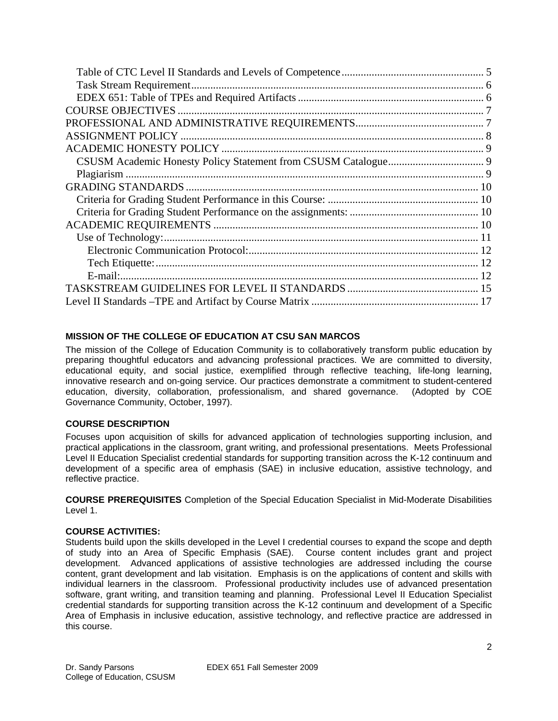# **MISSION OF THE COLLEGE OF EDUCATION AT CSU SAN MARCOS**

The mission of the College of Education Community is to collaboratively transform public education by preparing thoughtful educators and advancing professional practices. We are committed to diversity, educational equity, and social justice, exemplified through reflective teaching, life-long learning, innovative research and on-going service. Our practices demonstrate a commitment to student-centered education, diversity, collaboration, professionalism, and shared governance. (Adopted by COE Governance Community, October, 1997).

# **COURSE DESCRIPTION**

Focuses upon acquisition of skills for advanced application of technologies supporting inclusion, and practical applications in the classroom, grant writing, and professional presentations. Meets Professional Level II Education Specialist credential standards for supporting transition across the K-12 continuum and development of a specific area of emphasis (SAE) in inclusive education, assistive technology, and reflective practice.

**COURSE PREREQUISITES** Completion of the Special Education Specialist in Mid-Moderate Disabilities Level 1.

# **COURSE ACTIVITIES:**

Students build upon the skills developed in the Level I credential courses to expand the scope and depth of study into an Area of Specific Emphasis (SAE). Course content includes grant and project development. Advanced applications of assistive technologies are addressed including the course content, grant development and lab visitation. Emphasis is on the applications of content and skills with individual learners in the classroom. Professional productivity includes use of advanced presentation software, grant writing, and transition teaming and planning. Professional Level II Education Specialist credential standards for supporting transition across the K-12 continuum and development of a Specific Area of Emphasis in inclusive education, assistive technology, and reflective practice are addressed in this course.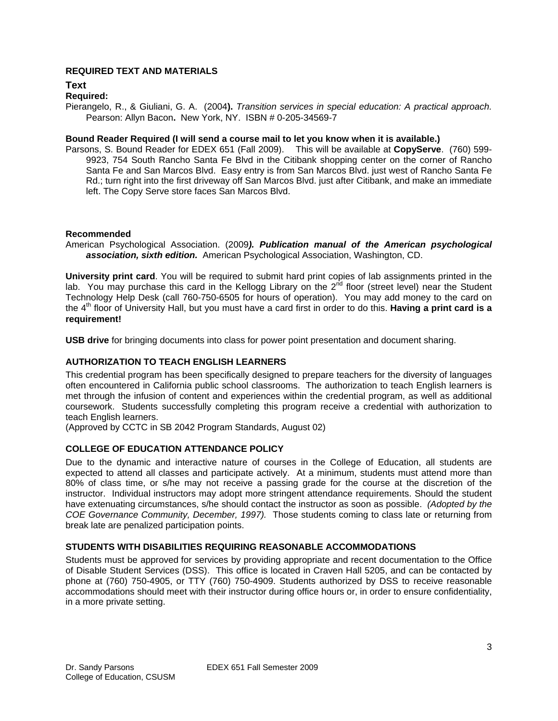# **REQUIRED TEXT AND MATERIALS**

**Text** 

### **Required:**

Pierangelo, R., & Giuliani, G. A. (2004**).** *Transition services in special education: A practical approach.*  Pearson: Allyn Bacon**.** New York, NY. ISBN # 0-205-34569-7

#### **Bound Reader Required (I will send a course mail to let you know when it is available.)**

 Parsons, S. Bound Reader for EDEX 651 (Fall 2009). This will be available at **CopyServe**. (760) 599- 9923, 754 South Rancho Santa Fe Blvd in the Citibank shopping center on the corner of Rancho Santa Fe and San Marcos Blvd. Easy entry is from San Marcos Blvd. just west of Rancho Santa Fe Rd.; turn right into the first driveway off San Marcos Blvd. just after Citibank, and make an immediate left. The Copy Serve store faces San Marcos Blvd.

#### **Recommended**

 *association, sixth edition.* American Psychological Association, Washington, CD. American Psychological Association. (2009*). Publication manual of the American psychological* 

**University print card**. You will be required to submit hard print copies of lab assignments printed in the lab. You may purchase this card in the Kellogg Library on the  $2<sup>nd</sup>$  floor (street level) near the Student Technology Help Desk (call 760-750-6505 for hours of operation). You may add money to the card on the 4th floor of University Hall, but you must have a card first in order to do this. **Having a print card is a requirement!** 

**USB drive** for bringing documents into class for power point presentation and document sharing.

### **AUTHORIZATION TO TEACH ENGLISH LEARNERS**

 often encountered in California public school classrooms. The authorization to teach English learners is This credential program has been specifically designed to prepare teachers for the diversity of languages met through the infusion of content and experiences within the credential program, as well as additional coursework. Students successfully completing this program receive a credential with authorization to teach English learners.

(Approved by CCTC in SB 2042 Program Standards, August 02)

### **COLLEGE OF EDUCATION ATTENDANCE POLICY**

 *COE Governance Community, December, 1997).* Those students coming to class late or returning from Due to the dynamic and interactive nature of courses in the College of Education, all students are expected to attend all classes and participate actively. At a minimum, students must attend more than 80% of class time, or s/he may not receive a passing grade for the course at the discretion of the instructor. Individual instructors may adopt more stringent attendance requirements. Should the student have extenuating circumstances, s/he should contact the instructor as soon as possible. *(Adopted by the*  break late are penalized participation points.

### **STUDENTS WITH DISABILITIES REQUIRING REASONABLE ACCOMMODATIONS**

Students must be approved for services by providing appropriate and recent documentation to the Office of Disable Student Services (DSS). This office is located in Craven Hall 5205, and can be contacted by phone at (760) 750-4905, or TTY (760) 750-4909. Students authorized by DSS to receive reasonable accommodations should meet with their instructor during office hours or, in order to ensure confidentiality, in a more private setting.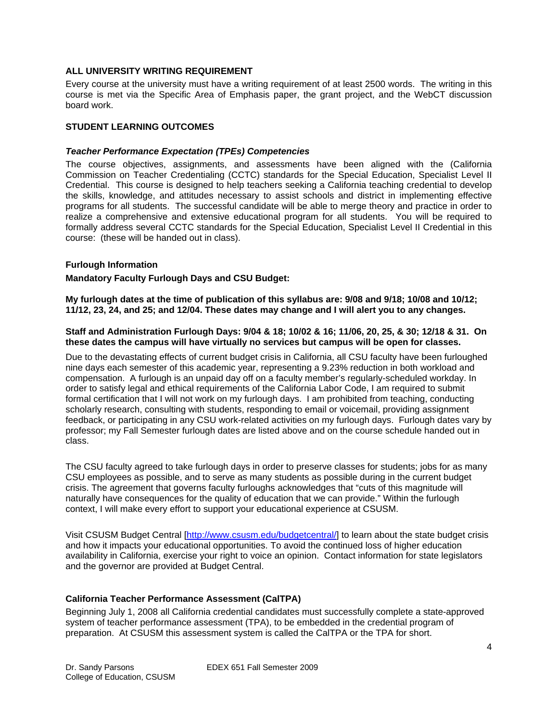## **ALL UNIVERSITY WRITING REQUIREMENT**

Every course at the university must have a writing requirement of at least 2500 words. The writing in this course is met via the Specific Area of Emphasis paper, the grant project, and the WebCT discussion board work.

# **STUDENT LEARNING OUTCOMES**

## *Teacher Performance Expectation (TPEs) Competencies*

The course objectives, assignments, and assessments have been aligned with the (California Commission on Teacher Credentialing (CCTC) standards for the Special Education, Specialist Level II Credential. This course is designed to help teachers seeking a California teaching credential to develop the skills, knowledge, and attitudes necessary to assist schools and district in implementing effective programs for all students. The successful candidate will be able to merge theory and practice in order to realize a comprehensive and extensive educational program for all students. You will be required to formally address several CCTC standards for the Special Education, Specialist Level II Credential in this course: (these will be handed out in class).

### **Furlough Information**

# **Mandatory Faculty Furlough Days and CSU Budget:**

**My furlough dates at the time of publication of this syllabus are: 9/08 and 9/18; 10/08 and 10/12; 11/12, 23, 24, and 25; and 12/04. These dates may change and I will alert you to any changes.** 

#### **Staff and Administration Furlough Days: 9/04 & 18; 10/02 & 16; 11/06, 20, 25, & 30; 12/18 & 31. On these dates the campus will have virtually no services but campus will be open for classes.**

Due to the devastating effects of current budget crisis in California, all CSU faculty have been furloughed nine days each semester of this academic year, representing a 9.23% reduction in both workload and compensation. A furlough is an unpaid day off on a faculty member's regularly-scheduled workday. In order to satisfy legal and ethical requirements of the California Labor Code, I am required to submit formal certification that I will not work on my furlough days. I am prohibited from teaching, conducting scholarly research, consulting with students, responding to email or voicemail, providing assignment feedback, or participating in any CSU work-related activities on my furlough days. Furlough dates vary by professor; my Fall Semester furlough dates are listed above and on the course schedule handed out in class.

The CSU faculty agreed to take furlough days in order to preserve classes for students; jobs for as many CSU employees as possible, and to serve as many students as possible during in the current budget crisis. The agreement that governs faculty furloughs acknowledges that "cuts of this magnitude will naturally have consequences for the quality of education that we can provide." Within the furlough context, I will make every effort to support your educational experience at CSUSM.

Visit CSUSM Budget Central [http://www.csusm.edu/budgetcentral/] to learn about the state budget crisis and how it impacts your educational opportunities. To avoid the continued loss of higher education availability in California, exercise your right to voice an opinion. Contact information for state legislators and the governor are provided at Budget Central.

# **California Teacher Performance Assessment (CalTPA)**

Beginning July 1, 2008 all California credential candidates must successfully complete a state-approved system of teacher performance assessment (TPA), to be embedded in the credential program of preparation. At CSUSM this assessment system is called the CalTPA or the TPA for short.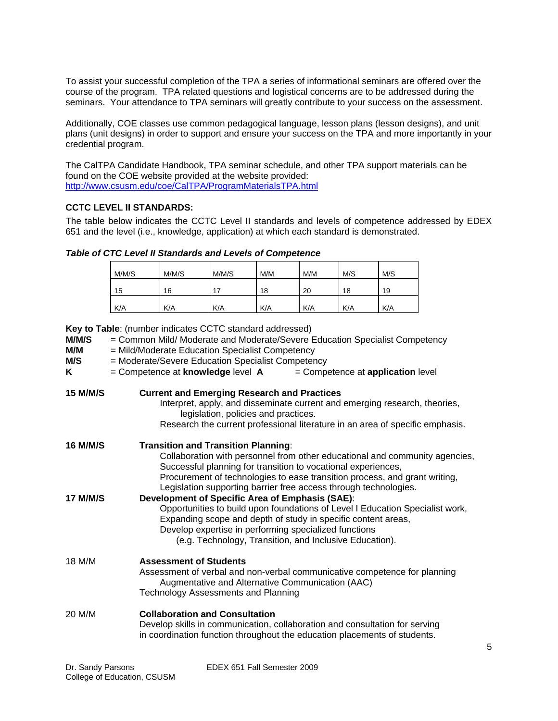To assist your successful completion of the TPA a series of informational seminars are offered over the course of the program. TPA related questions and logistical concerns are to be addressed during the seminars. Your attendance to TPA seminars will greatly contribute to your success on the assessment.

Additionally, COE classes use common pedagogical language, lesson plans (lesson designs), and unit plans (unit designs) in order to support and ensure your success on the TPA and more importantly in your credential program.

 http://www.csusm.edu/coe/CalTPA/ProgramMaterialsTPA.html The CalTPA Candidate Handbook, TPA seminar schedule, and other TPA support materials can be found on the COE website provided at the website provided:

# **CCTC LEVEL II STANDARDS:**

The table below indicates the CCTC Level II standards and levels of competence addressed by EDEX 651 and the level (i.e., knowledge, application) at which each standard is demonstrated.

| Table of CTC Level II Standards and Levels of Competence |  |  |  |  |  |
|----------------------------------------------------------|--|--|--|--|--|
|----------------------------------------------------------|--|--|--|--|--|

| M/M/S | M/M/S | M/M/S | M/M | M/M | M/S | M/S |
|-------|-------|-------|-----|-----|-----|-----|
| 15    | 16    | 17    | 18  | 20  | 18  | 19  |
| K/A   | K/A   | K/A   | K/A | K/A | K/A | K/A |

**Key to Table**: (number indicates CCTC standard addressed)

| M/M/S<br>M/M<br>M/S<br>K | = Common Mild/ Moderate and Moderate/Severe Education Specialist Competency<br>= Mild/Moderate Education Specialist Competency<br>= Moderate/Severe Education Specialist Competency<br>= Competence at <b>knowledge</b> level <b>A</b><br>$=$ Competence at <b>application</b> level                                                         |
|--------------------------|----------------------------------------------------------------------------------------------------------------------------------------------------------------------------------------------------------------------------------------------------------------------------------------------------------------------------------------------|
| <b>15 M/M/S</b>          | <b>Current and Emerging Research and Practices</b><br>Interpret, apply, and disseminate current and emerging research, theories,<br>legislation, policies and practices.<br>Research the current professional literature in an area of specific emphasis.                                                                                    |
| <b>16 M/M/S</b>          | <b>Transition and Transition Planning:</b><br>Collaboration with personnel from other educational and community agencies,<br>Successful planning for transition to vocational experiences,<br>Procurement of technologies to ease transition process, and grant writing,<br>Legislation supporting barrier free access through technologies. |
| <b>17 M/M/S</b>          | Development of Specific Area of Emphasis (SAE):<br>Opportunities to build upon foundations of Level I Education Specialist work,<br>Expanding scope and depth of study in specific content areas,<br>Develop expertise in performing specialized functions<br>(e.g. Technology, Transition, and Inclusive Education).                        |
| 18 M/M                   | <b>Assessment of Students</b><br>Assessment of verbal and non-verbal communicative competence for planning<br>Augmentative and Alternative Communication (AAC)<br><b>Technology Assessments and Planning</b>                                                                                                                                 |
| 20 M/M                   | <b>Collaboration and Consultation</b><br>Develop skills in communication, collaboration and consultation for serving<br>in coordination function throughout the education placements of students.                                                                                                                                            |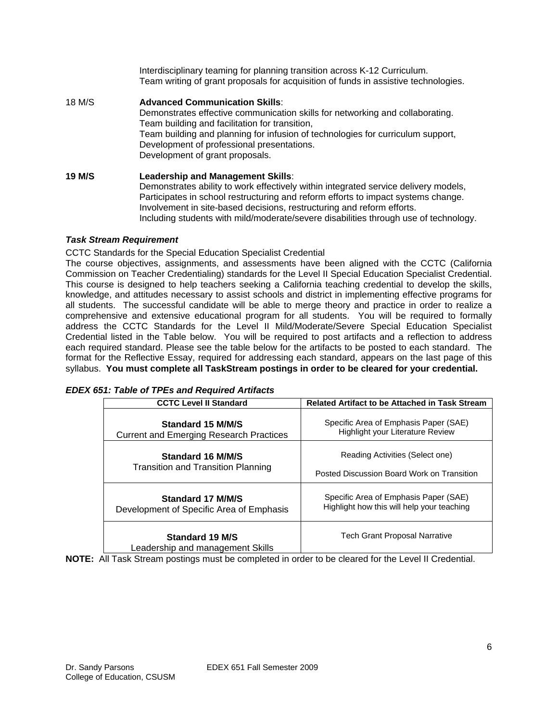Interdisciplinary teaming for planning transition across K-12 Curriculum. Team writing of grant proposals for acquisition of funds in assistive technologies.

18 M/S **Advanced Communication Skills**: Demonstrates effective communication skills for networking and collaborating. Team building and facilitation for transition, Team building and planning for infusion of technologies for curriculum support, Development of professional presentations. Development of grant proposals. **19 M/S Leadership and Management Skills**: Demonstrates ability to work effectively within integrated service delivery models, Participates in school restructuring and reform efforts to impact systems change.

Involvement in site-based decisions, restructuring and reform efforts.

Including students with mild/moderate/severe disabilities through use of technology.

# *Task Stream Requirement*

CCTC Standards for the Special Education Specialist Credential

The course objectives, assignments, and assessments have been aligned with the CCTC (California Commission on Teacher Credentialing) standards for the Level II Special Education Specialist Credential. This course is designed to help teachers seeking a California teaching credential to develop the skills, knowledge, and attitudes necessary to assist schools and district in implementing effective programs for all students. The successful candidate will be able to merge theory and practice in order to realize a comprehensive and extensive educational program for all students. You will be required to formally address the CCTC Standards for the Level II Mild/Moderate/Severe Special Education Specialist Credential listed in the Table below. You will be required to post artifacts and a reflection to address each required standard. Please see the table below for the artifacts to be posted to each standard. The format for the Reflective Essay, required for addressing each standard, appears on the last page of this syllabus. **You must complete all TaskStream postings in order to be cleared for your credential.** 

| <b>EDEX 651: Table of TPEs and Required Artifacts</b> |  |
|-------------------------------------------------------|--|
|-------------------------------------------------------|--|

| <b>CCTC Level II Standard</b>                              | Related Artifact to be Attached in Task Stream |  |  |
|------------------------------------------------------------|------------------------------------------------|--|--|
| Standard 15 M/M/S                                          | Specific Area of Emphasis Paper (SAE)          |  |  |
| Current and Emerging Research Practices                    | <b>Highlight your Literature Review</b>        |  |  |
| Standard 16 M/M/S                                          | Reading Activities (Select one)                |  |  |
| Transition and Transition Planning                         | Posted Discussion Board Work on Transition     |  |  |
| Standard 17 M/M/S                                          | Specific Area of Emphasis Paper (SAE)          |  |  |
| Development of Specific Area of Emphasis                   | Highlight how this will help your teaching     |  |  |
| <b>Standard 19 M/S</b><br>Leadership and management Skills | <b>Tech Grant Proposal Narrative</b>           |  |  |

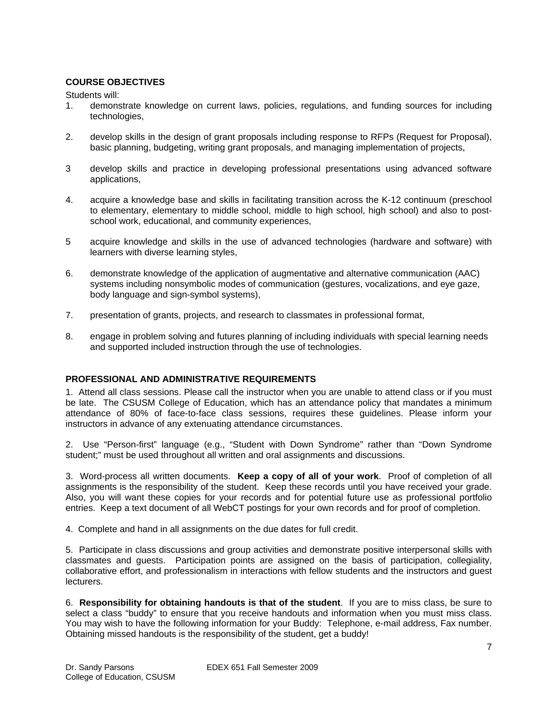# **COURSE OBJECTIVES**

Students will:

- 1. demonstrate knowledge on current laws, policies, regulations, and funding sources for including technologies,
- 2. develop skills in the design of grant proposals including response to RFPs (Request for Proposal), basic planning, budgeting, writing grant proposals, and managing implementation of projects,
- 3 develop skills and practice in developing professional presentations using advanced software applications,
- 4. acquire a knowledge base and skills in facilitating transition across the K-12 continuum (preschool to elementary, elementary to middle school, middle to high school, high school) and also to postschool work, educational, and community experiences,
- 5 acquire knowledge and skills in the use of advanced technologies (hardware and software) with learners with diverse learning styles,
- 6. demonstrate knowledge of the application of augmentative and alternative communication (AAC) systems including nonsymbolic modes of communication (gestures, vocalizations, and eye gaze, body language and sign-symbol systems),
- 7. presentation of grants, projects, and research to classmates in professional format,
- 8. engage in problem solving and futures planning of including individuals with special learning needs and supported included instruction through the use of technologies.

# **PROFESSIONAL AND ADMINISTRATIVE REQUIREMENTS**

1. Attend all class sessions. Please call the instructor when you are unable to attend class or if you must be late. The CSUSM College of Education, which has an attendance policy that mandates a minimum attendance of 80% of face-to-face class sessions, requires these guidelines. Please inform your instructors in advance of any extenuating attendance circumstances.

2. Use "Person-first" language (e.g., "Student with Down Syndrome" rather than "Down Syndrome student;" must be used throughout all written and oral assignments and discussions.

3. Word-process all written documents. **Keep a copy of all of your work**. Proof of completion of all assignments is the responsibility of the student. Keep these records until you have received your grade. Also, you will want these copies for your records and for potential future use as professional portfolio entries. Keep a text document of all WebCT postings for your own records and for proof of completion.

4. Complete and hand in all assignments on the due dates for full credit.

5. Participate in class discussions and group activities and demonstrate positive interpersonal skills with classmates and guests. Participation points are assigned on the basis of participation, collegiality, collaborative effort, and professionalism in interactions with fellow students and the instructors and guest lecturers.

6. **Responsibility for obtaining handouts is that of the student**. If you are to miss class, be sure to select a class "buddy" to ensure that you receive handouts and information when you must miss class. You may wish to have the following information for your Buddy: Telephone, e-mail address, Fax number. Obtaining missed handouts is the responsibility of the student, get a buddy!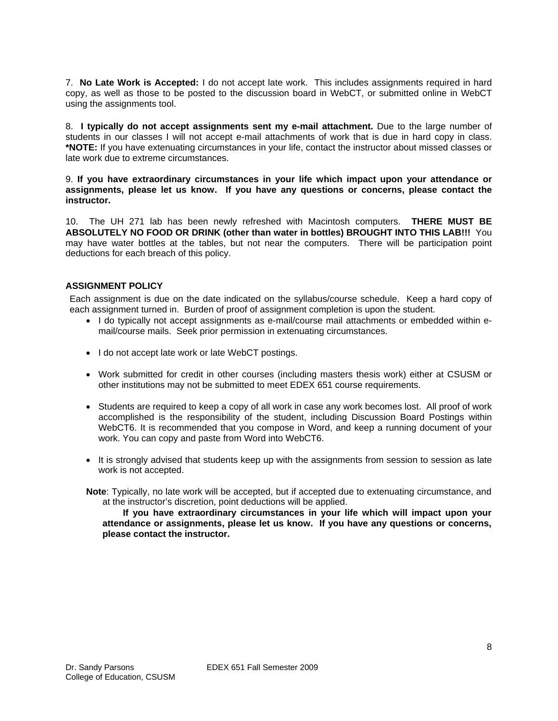7. **No Late Work is Accepted:** I do not accept late work. This includes assignments required in hard copy, as well as those to be posted to the discussion board in WebCT, or submitted online in WebCT using the assignments tool.

8. **I typically do not accept assignments sent my e-mail attachment.** Due to the large number of students in our classes I will not accept e-mail attachments of work that is due in hard copy in class. **\*NOTE:** If you have extenuating circumstances in your life, contact the instructor about missed classes or late work due to extreme circumstances.

9. **If you have extraordinary circumstances in your life which impact upon your attendance or assignments, please let us know. If you have any questions or concerns, please contact the instructor.** 

10. The UH 271 lab has been newly refreshed with Macintosh computers. **THERE MUST BE ABSOLUTELY NO FOOD OR DRINK (other than water in bottles) BROUGHT INTO THIS LAB!!!** You may have water bottles at the tables, but not near the computers. There will be participation point deductions for each breach of this policy.

# **ASSIGNMENT POLICY**

Each assignment is due on the date indicated on the syllabus/course schedule. Keep a hard copy of each assignment turned in. Burden of proof of assignment completion is upon the student.

- I do typically not accept assignments as e-mail/course mail attachments or embedded within email/course mails. Seek prior permission in extenuating circumstances.
- I do not accept late work or late WebCT postings.
- • Work submitted for credit in other courses (including masters thesis work) either at CSUSM or other institutions may not be submitted to meet EDEX 651 course requirements.
- Students are required to keep a copy of all work in case any work becomes lost. All proof of work accomplished is the responsibility of the student, including Discussion Board Postings within WebCT6. It is recommended that you compose in Word, and keep a running document of your work. You can copy and paste from Word into WebCT6.
- It is strongly advised that students keep up with the assignments from session to session as late work is not accepted.
- **Note**: Typically, no late work will be accepted, but if accepted due to extenuating circumstance, and at the instructor's discretion, point deductions will be applied.

 **attendance or assignments, please let us know. If you have any questions or concerns, If you have extraordinary circumstances in your life which will impact upon your please contact the instructor.**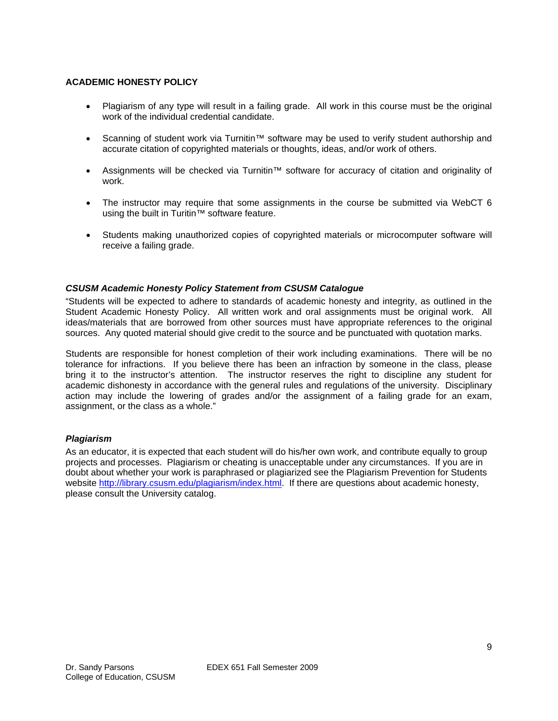# **ACADEMIC HONESTY POLICY**

- Plagiarism of any type will result in a failing grade. All work in this course must be the original work of the individual credential candidate.
- • Scanning of student work via Turnitin™ software may be used to verify student authorship and accurate citation of copyrighted materials or thoughts, ideas, and/or work of others.
- • Assignments will be checked via Turnitin™ software for accuracy of citation and originality of work.
- The instructor may require that some assignments in the course be submitted via WebCT 6 using the built in Turitin™ software feature.
- Students making unauthorized copies of copyrighted materials or microcomputer software will receive a failing grade.

# *CSUSM Academic Honesty Policy Statement from CSUSM Catalogue*

"Students will be expected to adhere to standards of academic honesty and integrity, as outlined in the Student Academic Honesty Policy. All written work and oral assignments must be original work. All ideas/materials that are borrowed from other sources must have appropriate references to the original sources. Any quoted material should give credit to the source and be punctuated with quotation marks.

Students are responsible for honest completion of their work including examinations. There will be no tolerance for infractions. If you believe there has been an infraction by someone in the class, please bring it to the instructor's attention. The instructor reserves the right to discipline any student for academic dishonesty in accordance with the general rules and regulations of the university. Disciplinary action may include the lowering of grades and/or the assignment of a failing grade for an exam, assignment, or the class as a whole."

### *Plagiarism*

As an educator, it is expected that each student will do his/her own work, and contribute equally to group projects and processes. Plagiarism or cheating is unacceptable under any circumstances. If you are in doubt about whether your work is paraphrased or plagiarized see the Plagiarism Prevention for Students website http://library.csusm.edu/plagiarism/index.html. If there are questions about academic honesty, please consult the University catalog.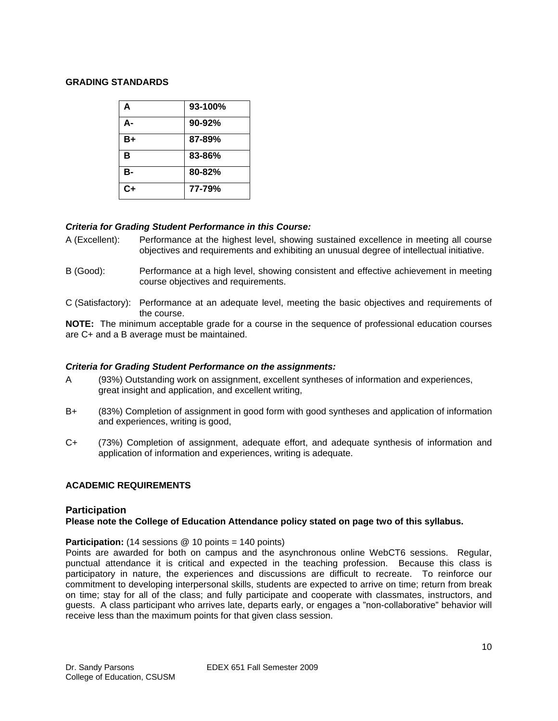### **GRADING STANDARDS**

| A    | 93-100% |
|------|---------|
| А-   | 90-92%  |
| $B+$ | 87-89%  |
| в    | 83-86%  |
| в-   | 80-82%  |
| $C+$ | 77-79%  |

# *Criteria for Grading Student Performance in this Course:*

- A (Excellent): Performance at the highest level, showing sustained excellence in meeting all course objectives and requirements and exhibiting an unusual degree of intellectual initiative.
- B (Good): Performance at a high level, showing consistent and effective achievement in meeting course objectives and requirements.
- C (Satisfactory): Performance at an adequate level, meeting the basic objectives and requirements of the course.

**NOTE:** The minimum acceptable grade for a course in the sequence of professional education courses are C+ and a B average must be maintained.

### *Criteria for Grading Student Performance on the assignments:*

- A (93%) Outstanding work on assignment, excellent syntheses of information and experiences, great insight and application, and excellent writing,
- B+ (83%) Completion of assignment in good form with good syntheses and application of information and experiences, writing is good,
- C+ (73%) Completion of assignment, adequate effort, and adequate synthesis of information and application of information and experiences, writing is adequate.

# **ACADEMIC REQUIREMENTS**

# **Participation**

# **Please note the College of Education Attendance policy stated on page two of this syllabus.**

### **Participation:** (14 sessions @ 10 points = 140 points)

Points are awarded for both on campus and the asynchronous online WebCT6 sessions. Regular, punctual attendance it is critical and expected in the teaching profession. Because this class is participatory in nature, the experiences and discussions are difficult to recreate. To reinforce our commitment to developing interpersonal skills, students are expected to arrive on time; return from break on time; stay for all of the class; and fully participate and cooperate with classmates, instructors, and guests. A class participant who arrives late, departs early, or engages a "non-collaborative" behavior will receive less than the maximum points for that given class session.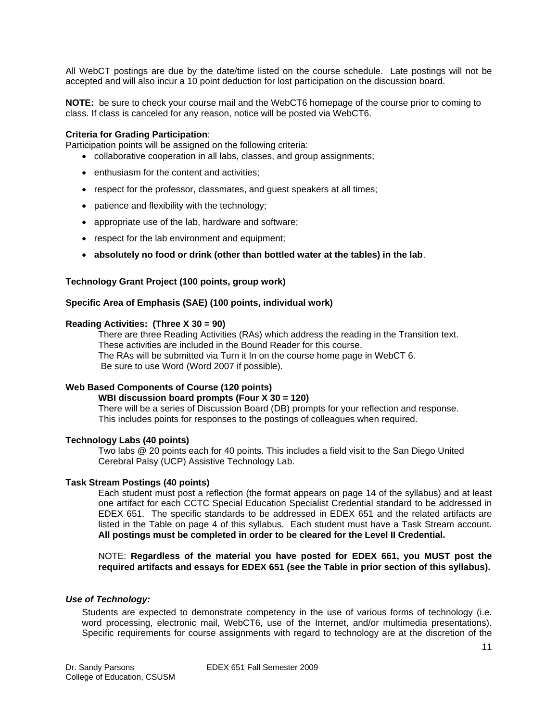All WebCT postings are due by the date/time listed on the course schedule. Late postings will not be accepted and will also incur a 10 point deduction for lost participation on the discussion board.

**NOTE:** be sure to check your course mail and the WebCT6 homepage of the course prior to coming to class. If class is canceled for any reason, notice will be posted via WebCT6.

#### **Criteria for Grading Participation**:

Participation points will be assigned on the following criteria:

- collaborative cooperation in all labs, classes, and group assignments;
- enthusiasm for the content and activities;
- respect for the professor, classmates, and guest speakers at all times;
- patience and flexibility with the technology;
- appropriate use of the lab, hardware and software;
- respect for the lab environment and equipment;
- **absolutely no food or drink (other than bottled water at the tables) in the lab**.

#### **Technology Grant Project (100 points, group work)**

#### **Specific Area of Emphasis (SAE) (100 points, individual work)**

#### **Reading Activities: (Three X 30 = 90)**

These activities are included in the Bound Reader for this course. There are three Reading Activities (RAs) which address the reading in the Transition text. The RAs will be submitted via Turn it In on the course home page in WebCT 6. Be sure to use Word (Word 2007 if possible).

#### **Web Based Components of Course (120 points)**

#### **WBI discussion board prompts (Four X 30 = 120)**

There will be a series of Discussion Board (DB) prompts for your reflection and response. This includes points for responses to the postings of colleagues when required.

#### **Technology Labs (40 points)**

Two labs @ 20 points each for 40 points. This includes a field visit to the San Diego United Cerebral Palsy (UCP) Assistive Technology Lab.

#### **Task Stream Postings (40 points)**

 **All postings must be completed in order to be cleared for the Level II Credential.** Each student must post a reflection (the format appears on page 14 of the syllabus) and at least one artifact for each CCTC Special Education Specialist Credential standard to be addressed in EDEX 651. The specific standards to be addressed in EDEX 651 and the related artifacts are listed in the Table on page 4 of this syllabus. Each student must have a Task Stream account.

NOTE: **Regardless of the material you have posted for EDEX 661, you MUST post the required artifacts and essays for EDEX 651 (see the Table in prior section of this syllabus).** 

#### *Use of Technology:*

Students are expected to demonstrate competency in the use of various forms of technology (i.e. word processing, electronic mail, WebCT6, use of the Internet, and/or multimedia presentations). Specific requirements for course assignments with regard to technology are at the discretion of the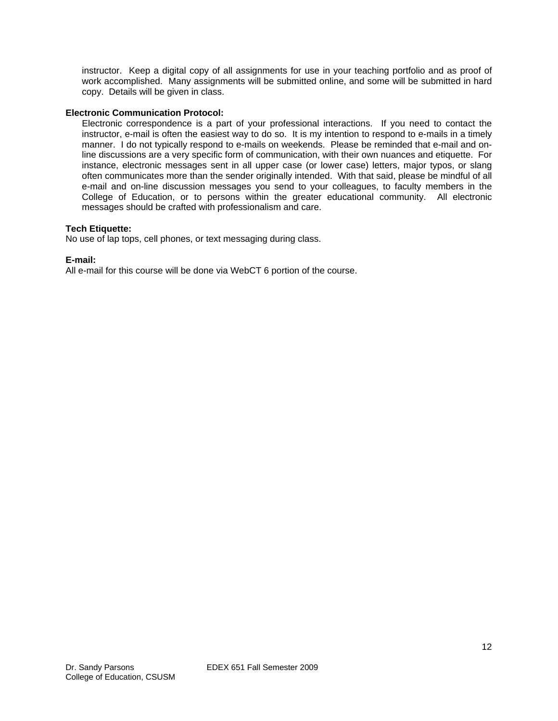instructor. Keep a digital copy of all assignments for use in your teaching portfolio and as proof of work accomplished. Many assignments will be submitted online, and some will be submitted in hard copy. Details will be given in class.

## **Electronic Communication Protocol:**

Electronic correspondence is a part of your professional interactions. If you need to contact the instructor, e-mail is often the easiest way to do so. It is my intention to respond to e-mails in a timely manner. I do not typically respond to e-mails on weekends. Please be reminded that e-mail and online discussions are a very specific form of communication, with their own nuances and etiquette. For instance, electronic messages sent in all upper case (or lower case) letters, major typos, or slang often communicates more than the sender originally intended. With that said, please be mindful of all e-mail and on-line discussion messages you send to your colleagues, to faculty members in the College of Education, or to persons within the greater educational community. All electronic messages should be crafted with professionalism and care.

### **Tech Etiquette:**

No use of lap tops, cell phones, or text messaging during class.

### **E-mail:**

All e-mail for this course will be done via WebCT 6 portion of the course.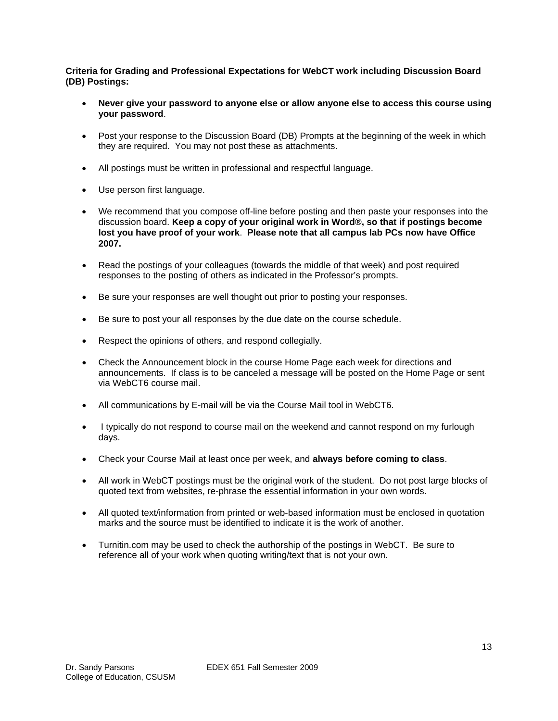**Criteria for Grading and Professional Expectations for WebCT work including Discussion Board (DB) Postings:** 

- Never give your password to anyone else or allow anyone else to access this course using **your password**.
- Post your response to the Discussion Board (DB) Prompts at the beginning of the week in which they are required. You may not post these as attachments.
- All postings must be written in professional and respectful language.
- Use person first language.
- We recommend that you compose off-line before posting and then paste your responses into the discussion board. **Keep a copy of your original work in Word®, so that if postings become lost you have proof of your work**. **Please note that all campus lab PCs now have Office 2007.**
- Read the postings of your colleagues (towards the middle of that week) and post required responses to the posting of others as indicated in the Professor's prompts.
- Be sure your responses are well thought out prior to posting your responses.
- Be sure to post your all responses by the due date on the course schedule.
- Respect the opinions of others, and respond collegially.
- Check the Announcement block in the course Home Page each week for directions and announcements. If class is to be canceled a message will be posted on the Home Page or sent via WebCT6 course mail.
- All communications by E-mail will be via the Course Mail tool in WebCT6.
- I typically do not respond to course mail on the weekend and cannot respond on my furlough days.
- • Check your Course Mail at least once per week, and **always before coming to class**.
- All work in WebCT postings must be the original work of the student. Do not post large blocks of quoted text from websites, re-phrase the essential information in your own words.
- All quoted text/information from printed or web-based information must be enclosed in quotation marks and the source must be identified to indicate it is the work of another.
- Turnitin.com may be used to check the authorship of the postings in WebCT. Be sure to reference all of your work when quoting writing/text that is not your own.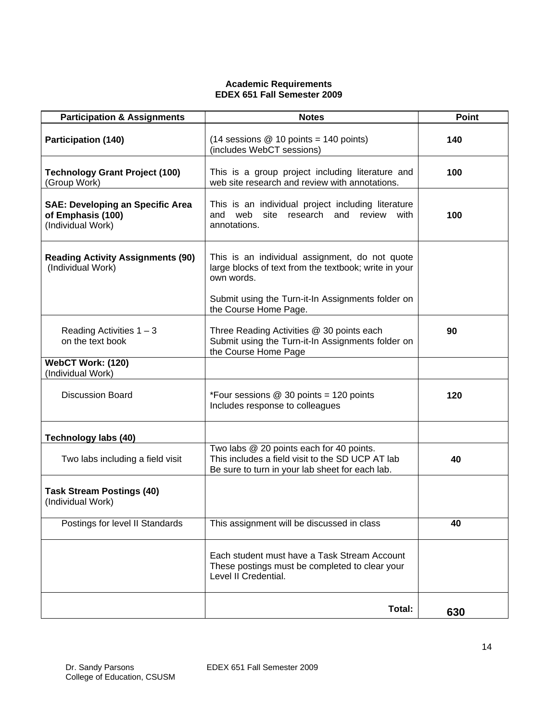## **Academic Requirements EDEX 651 Fall Semester 2009**

| <b>Participation &amp; Assignments</b>                                            | <b>Notes</b>                                                                                                                                                                                        | <b>Point</b> |
|-----------------------------------------------------------------------------------|-----------------------------------------------------------------------------------------------------------------------------------------------------------------------------------------------------|--------------|
| <b>Participation (140)</b>                                                        | $(14$ sessions @ 10 points = 140 points)<br>(includes WebCT sessions)                                                                                                                               | 140          |
| <b>Technology Grant Project (100)</b><br>(Group Work)                             | This is a group project including literature and<br>web site research and review with annotations.                                                                                                  | 100          |
| <b>SAE: Developing an Specific Area</b><br>of Emphasis (100)<br>(Individual Work) | This is an individual project including literature<br>site research and review with<br>and web<br>annotations.                                                                                      | 100          |
| <b>Reading Activity Assignments (90)</b><br>(Individual Work)                     | This is an individual assignment, do not quote<br>large blocks of text from the textbook; write in your<br>own words.<br>Submit using the Turn-it-In Assignments folder on<br>the Course Home Page. |              |
| Reading Activities $1 - 3$<br>on the text book                                    | Three Reading Activities @ 30 points each<br>Submit using the Turn-it-In Assignments folder on<br>the Course Home Page                                                                              | 90           |
| WebCT Work: (120)<br>(Individual Work)                                            |                                                                                                                                                                                                     |              |
| <b>Discussion Board</b>                                                           | *Four sessions @ 30 points = 120 points<br>Includes response to colleagues                                                                                                                          | 120          |
| Technology labs (40)                                                              |                                                                                                                                                                                                     |              |
| Two labs including a field visit                                                  | Two labs @ 20 points each for 40 points.<br>This includes a field visit to the SD UCP AT lab<br>Be sure to turn in your lab sheet for each lab.                                                     | 40           |
| <b>Task Stream Postings (40)</b><br>(Individual Work)                             |                                                                                                                                                                                                     |              |
| Postings for level II Standards                                                   | This assignment will be discussed in class                                                                                                                                                          | 40           |
|                                                                                   | Each student must have a Task Stream Account<br>These postings must be completed to clear your<br>Level II Credential.                                                                              |              |
|                                                                                   | Total:                                                                                                                                                                                              | 630          |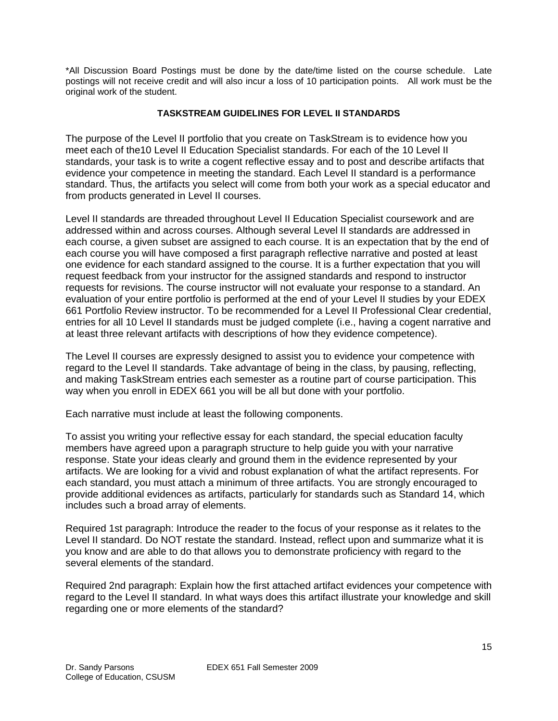\*All Discussion Board Postings must be done by the date/time listed on the course schedule. Late postings will not receive credit and will also incur a loss of 10 participation points. All work must be the original work of the student.

# **TASKSTREAM GUIDELINES FOR LEVEL II STANDARDS**

The purpose of the Level II portfolio that you create on TaskStream is to evidence how you meet each of the10 Level II Education Specialist standards. For each of the 10 Level II standards, your task is to write a cogent reflective essay and to post and describe artifacts that evidence your competence in meeting the standard. Each Level II standard is a performance standard. Thus, the artifacts you select will come from both your work as a special educator and from products generated in Level II courses.

Level II standards are threaded throughout Level II Education Specialist coursework and are addressed within and across courses. Although several Level II standards are addressed in each course, a given subset are assigned to each course. It is an expectation that by the end of each course you will have composed a first paragraph reflective narrative and posted at least one evidence for each standard assigned to the course. It is a further expectation that you will request feedback from your instructor for the assigned standards and respond to instructor requests for revisions. The course instructor will not evaluate your response to a standard. An evaluation of your entire portfolio is performed at the end of your Level II studies by your EDEX 661 Portfolio Review instructor. To be recommended for a Level II Professional Clear credential, entries for all 10 Level II standards must be judged complete (i.e., having a cogent narrative and at least three relevant artifacts with descriptions of how they evidence competence).

The Level II courses are expressly designed to assist you to evidence your competence with regard to the Level II standards. Take advantage of being in the class, by pausing, reflecting, and making TaskStream entries each semester as a routine part of course participation. This way when you enroll in EDEX 661 you will be all but done with your portfolio.

Each narrative must include at least the following components.

To assist you writing your reflective essay for each standard, the special education faculty members have agreed upon a paragraph structure to help guide you with your narrative response. State your ideas clearly and ground them in the evidence represented by your artifacts. We are looking for a vivid and robust explanation of what the artifact represents. For each standard, you must attach a minimum of three artifacts. You are strongly encouraged to provide additional evidences as artifacts, particularly for standards such as Standard 14, which includes such a broad array of elements.

Required 1st paragraph: Introduce the reader to the focus of your response as it relates to the Level II standard. Do NOT restate the standard. Instead, reflect upon and summarize what it is you know and are able to do that allows you to demonstrate proficiency with regard to the several elements of the standard.

Required 2nd paragraph: Explain how the first attached artifact evidences your competence with regard to the Level II standard. In what ways does this artifact illustrate your knowledge and skill regarding one or more elements of the standard?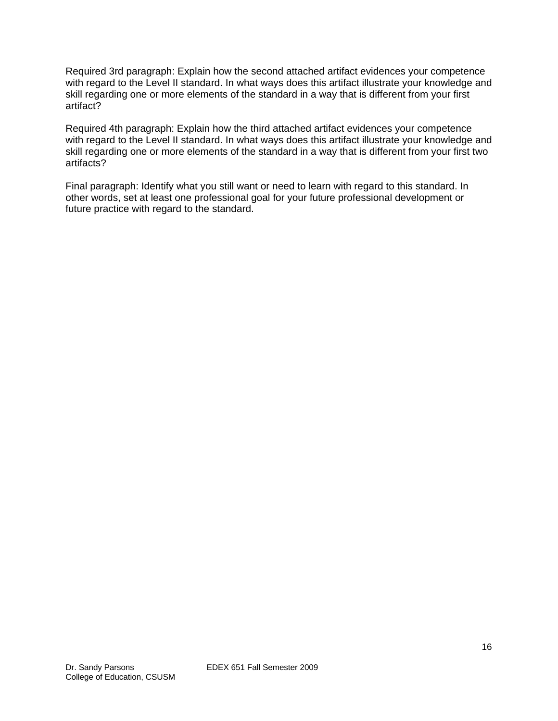Required 3rd paragraph: Explain how the second attached artifact evidences your competence with regard to the Level II standard. In what ways does this artifact illustrate your knowledge and skill regarding one or more elements of the standard in a way that is different from your first artifact?

Required 4th paragraph: Explain how the third attached artifact evidences your competence with regard to the Level II standard. In what ways does this artifact illustrate your knowledge and skill regarding one or more elements of the standard in a way that is different from your first two artifacts?

Final paragraph: Identify what you still want or need to learn with regard to this standard. In other words, set at least one professional goal for your future professional development or future practice with regard to the standard.